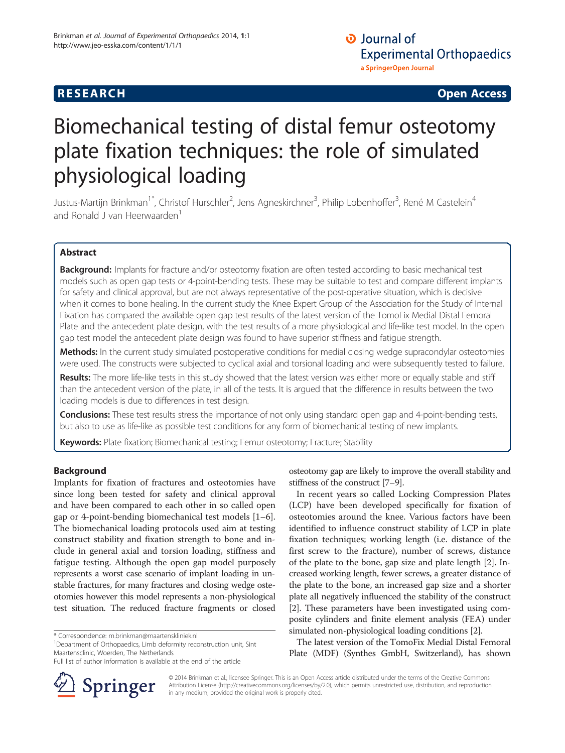## **RESEARCH**

**Open Access** 

# Biomechanical testing of distal femur osteotomy plate fixation techniques: the role of simulated physiological loading

Justus-Martijn Brinkman<sup>1\*</sup>, Christof Hurschler<sup>2</sup>, Jens Agneskirchner<sup>3</sup>, Philip Lobenhoffer<sup>3</sup>, René M Castelein<sup>4</sup> and Ronald J van Heerwaarden<sup>1</sup>

## **Abstract**

Background: Implants for fracture and/or osteotomy fixation are often tested according to basic mechanical test models such as open gap tests or 4-point-bending tests. These may be suitable to test and compare different implants for safety and clinical approval, but are not always representative of the post-operative situation, which is decisive when it comes to bone healing. In the current study the Knee Expert Group of the Association for the Study of Internal Fixation has compared the available open gap test results of the latest version of the TomoFix Medial Distal Femoral Plate and the antecedent plate design, with the test results of a more physiological and life-like test model. In the open gap test model the antecedent plate design was found to have superior stiffness and fatigue strength.

Methods: In the current study simulated postoperative conditions for medial closing wedge supracondylar osteotomies were used. The constructs were subjected to cyclical axial and torsional loading and were subsequently tested to failure.

Results: The more life-like tests in this study showed that the latest version was either more or equally stable and stiff than the antecedent version of the plate, in all of the tests. It is argued that the difference in results between the two loading models is due to differences in test design.

**Conclusions:** These test results stress the importance of not only using standard open gap and 4-point-bending tests, but also to use as life-like as possible test conditions for any form of biomechanical testing of new implants.

Keywords: Plate fixation; Biomechanical testing; Femur osteotomy; Fracture; Stability

## **Background**

Implants for fixation of fractures and osteotomies have since long been tested for safety and clinical approval and have been compared to each other in so called open gap or 4-point-bending biomechanical test models [1-6]. The biomechanical loading protocols used aim at testing construct stability and fixation strength to bone and include in general axial and torsion loading, stiffness and fatigue testing. Although the open gap model purposely represents a worst case scenario of implant loading in unstable fractures, for many fractures and closing wedge osteotomies however this model represents a non-physiological test situation. The reduced fracture fragments or closed

<sup>1</sup>Department of Orthopaedics, Limb deformity reconstruction unit, Sint Maartensclinic, Woerden, The Netherlands

Full list of author information is available at the end of the article



osteotomy gap are likely to improve the overall stability and stiffness of the construct  $[7-9]$ .

In recent years so called Locking Compression Plates (LCP) have been developed specifically for fixation of osteotomies around the knee. Various factors have been identified to influence construct stability of LCP in plate fixation techniques; working length (i.e. distance of the first screw to the fracture), number of screws, distance of the plate to the bone, gap size and plate length [2]. Increased working length, fewer screws, a greater distance of the plate to the bone, an increased gap size and a shorter plate all negatively influenced the stability of the construct [2]. These parameters have been investigated using composite cylinders and finite element analysis (FEA) under simulated non-physiological loading conditions [2].

The latest version of the TomoFix Medial Distal Femoral Plate (MDF) (Synthes GmbH, Switzerland), has shown

© 2014 Brinkman et al.; licensee Springer. This is an Open Access article distributed under the terms of the Creative Commons Attribution License (http://creativecommons.org/licenses/by/2.0), which permits unrestricted use, distribution, and reproduction in any medium, provided the original work is properly cited.

<sup>\*</sup> Correspondence: m.brinkman@maartenskliniek.nl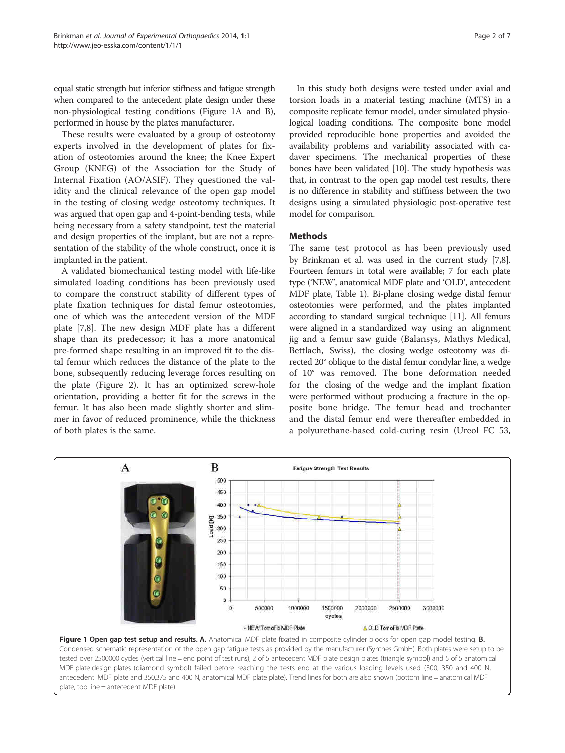equal static strength but inferior stiffness and fatigue strength when compared to the antecedent plate design under these non-physiological testing conditions (Figure 1A and B), performed in house by the plates manufacturer.

These results were evaluated by a group of osteotomy experts involved in the development of plates for fixation of osteotomies around the knee; the Knee Expert Group (KNEG) of the Association for the Study of Internal Fixation (AO/ASIF). They questioned the validity and the clinical relevance of the open gap model in the testing of closing wedge osteotomy techniques. It was argued that open gap and 4-point-bending tests, while being necessary from a safety standpoint, test the material and design properties of the implant, but are not a representation of the stability of the whole construct, once it is implanted in the patient.

A validated biomechanical testing model with life-like simulated loading conditions has been previously used to compare the construct stability of different types of plate fixation techniques for distal femur osteotomies, one of which was the antecedent version of the MDF plate [7,8]. The new design MDF plate has a different shape than its predecessor; it has a more anatomical pre-formed shape resulting in an improved fit to the distal femur which reduces the distance of the plate to the bone, subsequently reducing leverage forces resulting on the plate (Figure 2). It has an optimized screw-hole orientation, providing a better fit for the screws in the femur. It has also been made slightly shorter and slimmer in favor of reduced prominence, while the thickness of both plates is the same.

In this study both designs were tested under axial and torsion loads in a material testing machine (MTS) in a composite replicate femur model, under simulated physiological loading conditions. The composite bone model provided reproducible bone properties and avoided the availability problems and variability associated with cadaver specimens. The mechanical properties of these bones have been validated [10]. The study hypothesis was that, in contrast to the open gap model test results, there is no difference in stability and stiffness between the two designs using a simulated physiologic post-operative test model for comparison.

## **Methods**

The same test protocol as has been previously used by Brinkman et al. was used in the current study [7,8]. Fourteen femurs in total were available; 7 for each plate type ('NEW', anatomical MDF plate and 'OLD', antecedent MDF plate, Table 1). Bi-plane closing wedge distal femur osteotomies were performed, and the plates implanted according to standard surgical technique [11]. All femurs were aligned in a standardized way using an alignment jig and a femur saw guide (Balansys, Mathys Medical, Bettlach, Swiss), the closing wedge osteotomy was directed 20° oblique to the distal femur condylar line, a wedge of 10° was removed. The bone deformation needed for the closing of the wedge and the implant fixation were performed without producing a fracture in the opposite bone bridge. The femur head and trochanter and the distal femur end were thereafter embedded in a polyurethane-based cold-curing resin (Ureol FC 53,



tested over 2500000 cycles (vertical line = end point of test runs), 2 of 5 antecedent MDF plate design plates (triangle symbol) and 5 of 5 anatomical MDF plate design plates (diamond symbol) failed before reaching the tests end at the various loading levels used (300, 350 and 400 N, antecedent MDF plate and 350,375 and 400 N, anatomical MDF plate plate). Trend lines for both are also shown (bottom line = anatomical MDF plate, top line = antecedent MDF plate)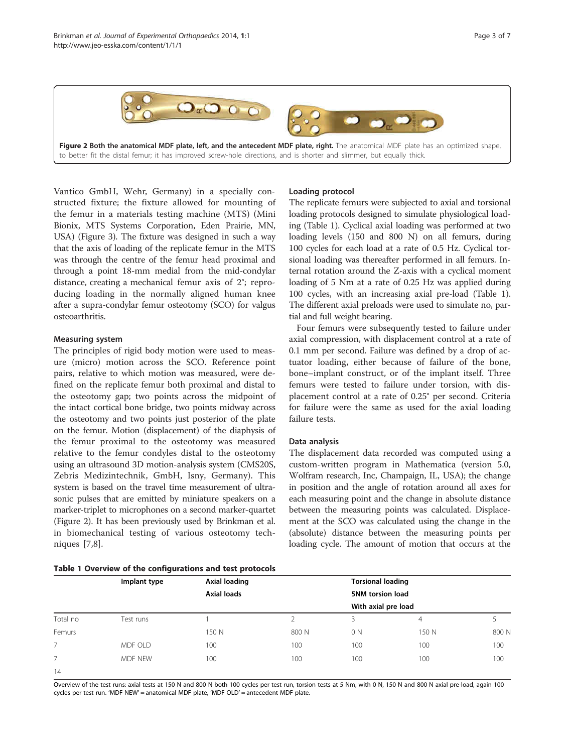

Figure 2 Both the anatomical MDF plate, left, and the antecedent MDF plate, right. The anatomical MDF plate has an optimized shape, to better fit the distal femur; it has improved screw-hole directions, and is shorter and slimmer, but equally thick.

Vantico GmbH, Wehr, Germany) in a specially constructed fixture; the fixture allowed for mounting of the femur in a materials testing machine (MTS) (Mini Bionix, MTS Systems Corporation, Eden Prairie, MN, USA) (Figure 3). The fixture was designed in such a way that the axis of loading of the replicate femur in the MTS was through the centre of the femur head proximal and through a point 18-mm medial from the mid-condylar distance, creating a mechanical femur axis of 2°; reproducing loading in the normally aligned human knee after a supra-condylar femur osteotomy (SCO) for valgus osteoarthritis.

#### **Measuring system**

The principles of rigid body motion were used to measure (micro) motion across the SCO. Reference point pairs, relative to which motion was measured, were defined on the replicate femur both proximal and distal to the osteotomy gap; two points across the midpoint of the intact cortical bone bridge, two points midway across the osteotomy and two points just posterior of the plate on the femur. Motion (displacement) of the diaphysis of the femur proximal to the osteotomy was measured relative to the femur condyles distal to the osteotomy using an ultrasound 3D motion-analysis system (CMS20S, Zebris Medizintechnik, GmbH, Isny, Germany). This system is based on the travel time measurement of ultrasonic pulses that are emitted by miniature speakers on a marker-triplet to microphones on a second marker-quartet (Figure 2). It has been previously used by Brinkman et al. in biomechanical testing of various osteotomy techniques  $[7,8]$ .

#### Loading protocol

The replicate femurs were subjected to axial and torsional loading protocols designed to simulate physiological loading (Table 1). Cyclical axial loading was performed at two loading levels (150 and 800 N) on all femurs, during 100 cycles for each load at a rate of 0.5 Hz. Cyclical torsional loading was thereafter performed in all femurs. Internal rotation around the Z-axis with a cyclical moment loading of 5 Nm at a rate of 0.25 Hz was applied during 100 cycles, with an increasing axial pre-load (Table 1). The different axial preloads were used to simulate no, partial and full weight bearing.

Four femurs were subsequently tested to failure under axial compression, with displacement control at a rate of 0.1 mm per second. Failure was defined by a drop of actuator loading, either because of failure of the bone, bone-implant construct, or of the implant itself. Three femurs were tested to failure under torsion, with displacement control at a rate of 0.25° per second. Criteria for failure were the same as used for the axial loading failure tests.

## Data analysis

The displacement data recorded was computed using a custom-written program in Mathematica (version 5.0, Wolfram research, Inc, Champaign, IL, USA); the change in position and the angle of rotation around all axes for each measuring point and the change in absolute distance between the measuring points was calculated. Displacement at the SCO was calculated using the change in the (absolute) distance between the measuring points per loading cycle. The amount of motion that occurs at the

#### Table 1 Overview of the configurations and test protocols

| Table I wrettlen of the collingerations and test protocols |              |                                     |       |                                                |       |       |  |  |
|------------------------------------------------------------|--------------|-------------------------------------|-------|------------------------------------------------|-------|-------|--|--|
|                                                            | Implant type | Axial loading<br><b>Axial loads</b> |       | <b>Torsional loading</b>                       |       |       |  |  |
|                                                            |              |                                     |       | <b>5NM torsion load</b><br>With axial pre load |       |       |  |  |
|                                                            |              |                                     |       |                                                |       |       |  |  |
| Total no                                                   | Test runs    |                                     |       |                                                | 4     |       |  |  |
| Femurs                                                     |              | 150 N                               | 800 N | 0 N                                            | 150 N | 800 N |  |  |
| 7                                                          | MDF OLD      | 100                                 | 100   | 100                                            | 100   | 100   |  |  |
|                                                            | MDF NEW      | 100                                 | 100   | 100                                            | 100   | 100   |  |  |
| 1 <sub>A</sub>                                             |              |                                     |       |                                                |       |       |  |  |

Overview of the test runs: axial tests at 150 N and 800 N both 100 cycles per test run, torsion tests at 5 Nm, with 0 N, 150 N and 800 N axial pre-load, again 100 cycles per test run. 'MDF NEW' = anatomical MDF plate, 'MDF OLD' = antecedent MDF plate.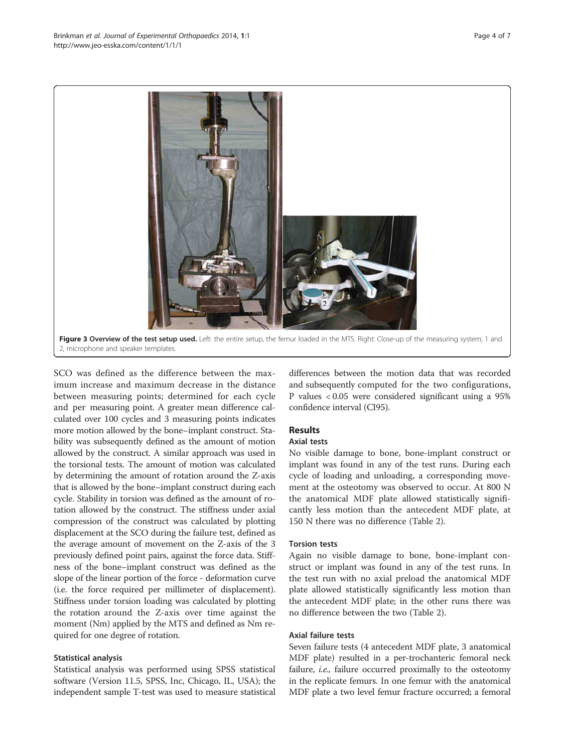

SCO was defined as the difference between the maximum increase and maximum decrease in the distance between measuring points; determined for each cycle and per measuring point. A greater mean difference calculated over 100 cycles and 3 measuring points indicates more motion allowed by the bone-implant construct. Stability was subsequently defined as the amount of motion allowed by the construct. A similar approach was used in the torsional tests. The amount of motion was calculated by determining the amount of rotation around the Z-axis that is allowed by the bone-implant construct during each cycle. Stability in torsion was defined as the amount of rotation allowed by the construct. The stiffness under axial compression of the construct was calculated by plotting displacement at the SCO during the failure test, defined as the average amount of movement on the Z-axis of the 3 previously defined point pairs, against the force data. Stiffness of the bone-implant construct was defined as the slope of the linear portion of the force - deformation curve (i.e. the force required per millimeter of displacement). Stiffness under torsion loading was calculated by plotting the rotation around the Z-axis over time against the moment (Nm) applied by the MTS and defined as Nm required for one degree of rotation.

## **Statistical analysis**

Statistical analysis was performed using SPSS statistical software (Version 11.5, SPSS, Inc, Chicago, IL, USA); the independent sample T-test was used to measure statistical

differences between the motion data that was recorded and subsequently computed for the two configurations, P values < 0.05 were considered significant using a 95% confidence interval (CI95).

## **Results**

## **Axial tests**

No visible damage to bone, bone-implant construct or implant was found in any of the test runs. During each cycle of loading and unloading, a corresponding movement at the osteotomy was observed to occur. At 800 N the anatomical MDF plate allowed statistically significantly less motion than the antecedent MDF plate, at 150 N there was no difference (Table 2).

#### **Torsion tests**

Again no visible damage to bone, bone-implant construct or implant was found in any of the test runs. In the test run with no axial preload the anatomical MDF plate allowed statistically significantly less motion than the antecedent MDF plate; in the other runs there was no difference between the two (Table 2).

### Axial failure tests

Seven failure tests (4 antecedent MDF plate, 3 anatomical MDF plate) resulted in a per-trochanteric femoral neck failure, *i.e.*, failure occurred proximally to the osteotomy in the replicate femurs. In one femur with the anatomical MDF plate a two level femur fracture occurred; a femoral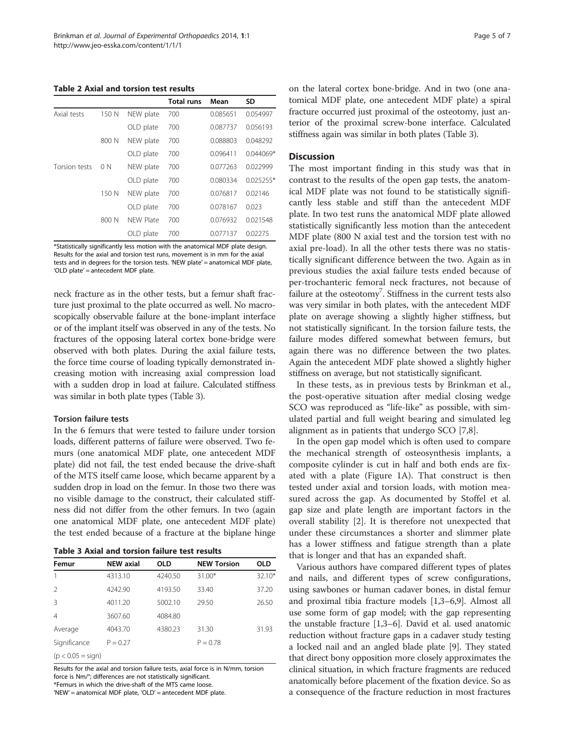Table 2 Axial and torsion test results

|               |       |           | <b>Total runs</b> | Mean     | SD          |
|---------------|-------|-----------|-------------------|----------|-------------|
| Axial tests   | 150 N | NEW plate | 700               | 0.085651 | 0.054997    |
|               |       | OLD plate | 700               | 0.087737 | 0.056193    |
|               | 800 N | NEW plate | 700               | 0.088803 | 0.048292    |
|               |       | OLD plate | 700               | 0.096411 | 0.044069*   |
| Torsion tests | 0 N   | NEW plate | 700               | 0.077263 | 0.022999    |
|               |       | OLD plate | 700               | 0.080334 | $0.025255*$ |
|               | 150 N | NEW plate | 700               | 0.076817 | 0.02146     |
|               |       | OLD plate | 700               | 0.078167 | 0.023       |
|               | 800 N | NFW Plate | 700               | 0.076932 | 0.021548    |
|               |       | OLD plate | 700               | 0.077137 | 0.02275     |

\*Statistically significantly less motion with the anatomical MDF plate design Results for the axial and torsion test runs, movement is in mm for the axial tests and in degrees for the torsion tests. 'NEW plate' = anatomical MDF plate, 'OLD plate' = antecedent MDF plate.

neck fracture as in the other tests, but a femur shaft fracture just proximal to the plate occurred as well. No macroscopically observable failure at the bone-implant interface or of the implant itself was observed in any of the tests. No fractures of the opposing lateral cortex bone-bridge were observed with both plates. During the axial failure tests, the force time course of loading typically demonstrated increasing motion with increasing axial compression load with a sudden drop in load at failure. Calculated stiffness was similar in both plate types (Table 3).

#### **Torsion failure tests**

In the 6 femurs that were tested to failure under torsion loads, different patterns of failure were observed. Two femurs (one anatomical MDF plate, one antecedent MDF plate) did not fail, the test ended because the drive-shaft of the MTS itself came loose, which became apparent by a sudden drop in load on the femur. In those two there was no visible damage to the construct, their calculated stiffness did not differ from the other femurs. In two (again one anatomical MDF plate, one antecedent MDF plate) the test ended because of a fracture at the biplane hinge

|  | Table 3 Axial and torsion failure test results |
|--|------------------------------------------------|
|--|------------------------------------------------|

| Femur                 | <b>NEW axial</b> | <b>OLD</b> | <b>NEW Torsion</b> | <b>OLD</b> |
|-----------------------|------------------|------------|--------------------|------------|
|                       | 4313.10          | 4240.50    | $31.00*$           | 32.10*     |
| $\mathcal{P}$         | 4242.90          | 4193.50    | 33.40              | 37.20      |
| 3                     | 4011.20          | 5002.10    | 29.50              | 26.50      |
| 4                     | 3607.60          | 4084.80    |                    |            |
| Average               | 4043.70          | 4380.23    | 31.30              | 31.93      |
| Significance          | $P = 0.27$       |            | $P = 0.78$         |            |
| $(n < 0.05 - \sin n)$ |                  |            |                    |            |

Results for the axial and torsion failure tests, axial force is in N/mm, torsion force is Nm/°; differences are not statistically significant. \*Femurs in which the drive-shaft of the MTS came loose.

'NEW' = anatomical MDF plate, 'OLD' = antecedent MDF plate.

on the lateral cortex bone-bridge. And in two (one anatomical MDF plate, one antecedent MDF plate) a spiral fracture occurred just proximal of the osteotomy, just anterior of the proximal screw-bone interface. Calculated stiffness again was similar in both plates (Table 3).

#### **Discussion**

The most important finding in this study was that in contrast to the results of the open gap tests, the anatomical MDF plate was not found to be statistically significantly less stable and stiff than the antecedent MDF plate. In two test runs the anatomical MDF plate allowed statistically significantly less motion than the antecedent MDF plate (800 N axial test and the torsion test with no axial pre-load). In all the other tests there was no statistically significant difference between the two. Again as in previous studies the axial failure tests ended because of per-trochanteric femoral neck fractures, not because of failure at the osteotomy<sup>7</sup>. Stiffness in the current tests also was very similar in both plates, with the antecedent MDF plate on average showing a slightly higher stiffness, but not statistically significant. In the torsion failure tests, the failure modes differed somewhat between femurs, but again there was no difference between the two plates. Again the antecedent MDF plate showed a slightly higher stiffness on average, but not statistically significant.

In these tests, as in previous tests by Brinkman et al., the post-operative situation after medial closing wedge SCO was reproduced as "life-like" as possible, with simulated partial and full weight bearing and simulated leg alignment as in patients that undergo SCO [7,8].

In the open gap model which is often used to compare the mechanical strength of osteosynthesis implants, a composite cylinder is cut in half and both ends are fixated with a plate (Figure 1A). That construct is then tested under axial and torsion loads, with motion measured across the gap. As documented by Stoffel et al. gap size and plate length are important factors in the overall stability [2]. It is therefore not unexpected that under these circumstances a shorter and slimmer plate has a lower stiffness and fatigue strength than a plate that is longer and that has an expanded shaft.

Various authors have compared different types of plates and nails, and different types of screw configurations, using sawbones or human cadaver bones, in distal femur and proximal tibia fracture models  $[1,3-6,9]$ . Almost all use some form of gap model; with the gap representing the unstable fracture  $[1,3-6]$ . David et al. used anatomic reduction without fracture gaps in a cadaver study testing a locked nail and an angled blade plate [9]. They stated that direct bony opposition more closely approximates the clinical situation, in which fracture fragments are reduced anatomically before placement of the fixation device. So as a consequence of the fracture reduction in most fractures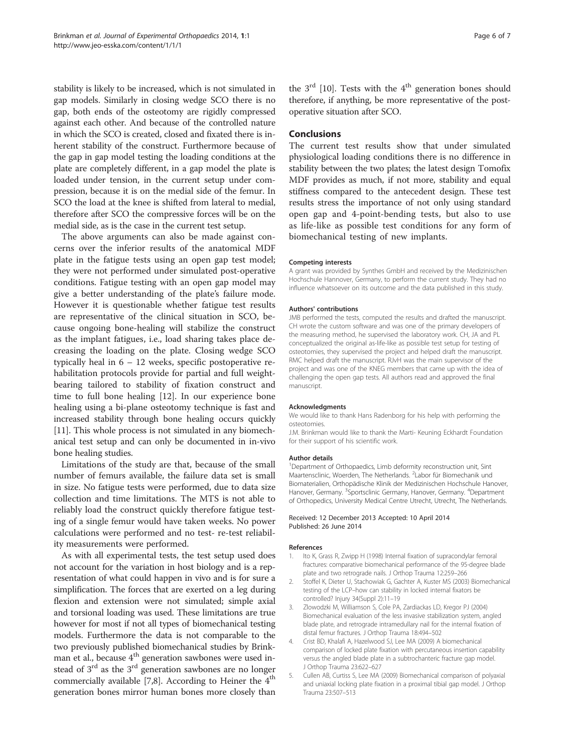stability is likely to be increased, which is not simulated in gap models. Similarly in closing wedge SCO there is no gap, both ends of the osteotomy are rigidly compressed against each other. And because of the controlled nature in which the SCO is created, closed and fixated there is inherent stability of the construct. Furthermore because of the gap in gap model testing the loading conditions at the plate are completely different, in a gap model the plate is loaded under tension, in the current setup under compression, because it is on the medial side of the femur. In SCO the load at the knee is shifted from lateral to medial, therefore after SCO the compressive forces will be on the medial side, as is the case in the current test setup.

The above arguments can also be made against concerns over the inferior results of the anatomical MDF plate in the fatigue tests using an open gap test model; they were not performed under simulated post-operative conditions. Fatigue testing with an open gap model may give a better understanding of the plate's failure mode. However it is questionable whether fatigue test results are representative of the clinical situation in SCO, because ongoing bone-healing will stabilize the construct as the implant fatigues, i.e., load sharing takes place decreasing the loading on the plate. Closing wedge SCO typically heal in  $6 - 12$  weeks, specific postoperative rehabilitation protocols provide for partial and full weightbearing tailored to stability of fixation construct and time to full bone healing [12]. In our experience bone healing using a bi-plane osteotomy technique is fast and increased stability through bone healing occurs quickly [11]. This whole process is not simulated in any biomechanical test setup and can only be documented in in-vivo bone healing studies.

Limitations of the study are that, because of the small number of femurs available, the failure data set is small in size. No fatigue tests were performed, due to data size collection and time limitations. The MTS is not able to reliably load the construct quickly therefore fatigue testing of a single femur would have taken weeks. No power calculations were performed and no test- re-test reliability measurements were performed.

As with all experimental tests, the test setup used does not account for the variation in host biology and is a representation of what could happen in vivo and is for sure a simplification. The forces that are exerted on a leg during flexion and extension were not simulated; simple axial and torsional loading was used. These limitations are true however for most if not all types of biomechanical testing models. Furthermore the data is not comparable to the two previously published biomechanical studies by Brinkman et al., because 4<sup>th</sup> generation sawbones were used instead of  $3<sup>rd</sup>$  as the  $3<sup>rd</sup>$  generation sawbones are no longer commercially available [7,8]. According to Heiner the  $4<sup>th</sup>$ generation bones mirror human bones more closely than

the  $3^{\text{rd}}$  [10]. Tests with the 4<sup>th</sup> generation bones should therefore, if anything, be more representative of the postoperative situation after SCO.

#### **Conclusions**

The current test results show that under simulated physiological loading conditions there is no difference in stability between the two plates; the latest design Tomofix MDF provides as much, if not more, stability and equal stiffness compared to the antecedent design. These test results stress the importance of not only using standard open gap and 4-point-bending tests, but also to use as life-like as possible test conditions for any form of biomechanical testing of new implants.

#### **Competing interests**

A grant was provided by Synthes GmbH and received by the Medizinischen Hochschule Hannover, Germany, to perform the current study. They had no influence whatsoever on its outcome and the data published in this study.

#### **Authors' contributions**

JMB performed the tests, computed the results and drafted the manuscript. CH wrote the custom software and was one of the primary developers of the measuring method, he supervised the laboratory work. CH, JA and PL conceptualized the original as-life-like as possible test setup for testing of osteotomies, they supervised the project and helped draft the manuscript. RMC helped draft the manuscript. RJvH was the main supervisor of the project and was one of the KNEG members that came up with the idea of challenging the open gap tests. All authors read and approved the final manuscript.

#### Acknowledaments

We would like to thank Hans Radenborg for his help with performing the osteotomies.

J.M. Brinkman would like to thank the Marti- Keuning Eckhardt Foundation for their support of his scientific work.

#### **Author details**

<sup>1</sup>Department of Orthopaedics, Limb deformity reconstruction unit, Sint Maartensclinic, Woerden, The Netherlands. <sup>2</sup>Labor für Biomechanik und Biomaterialien, Orthopädische Klinik der Medizinischen Hochschule Hanover, Hanover, Germany. <sup>3</sup>Sportsclinic Germany, Hanover, Germany. <sup>4</sup>Department of Orthopedics, University Medical Centre Utrecht, Utrecht, The Netherlands.

#### Received: 12 December 2013 Accepted: 10 April 2014 Published: 26 June 2014

#### References

- Ito K, Grass R, Zwipp H (1998) Internal fixation of supracondylar femoral fractures: comparative biomechanical performance of the 95-degree blade plate and two retrograde nails. J Orthop Trauma 12:259-266
- 2. Stoffel K, Dieter U, Stachowiak G, Gachter A, Kuster MS (2003) Biomechanical testing of the LCP-how can stability in locked internal fixators be controlled? Injury 34(Suppl 2):11-19
- Zlowodzki M, Williamson S, Cole PA, Zardiackas LD, Kregor PJ (2004) 3. Biomechanical evaluation of the less invasive stabilization system, angled blade plate, and retrograde intramedullary nail for the internal fixation of distal femur fractures. J Orthop Trauma 18:494-502
- 4. Crist BD, Khalafi A, Hazelwood SJ, Lee MA (2009) A biomechanical comparison of locked plate fixation with percutaneous insertion capability versus the angled blade plate in a subtrochanteric fracture gap model. J Orthop Trauma 23:622-627
- $5.$ Cullen AB, Curtiss S, Lee MA (2009) Biomechanical comparison of polyaxial and uniaxial locking plate fixation in a proximal tibial gap model. J Orthop Trauma 23:507-513